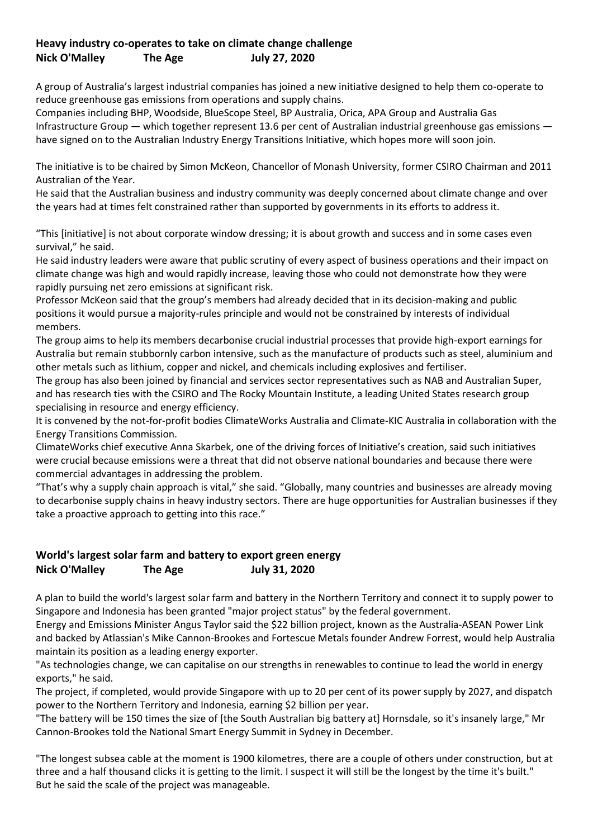## **Heavy industry co-operates to take on climate change challenge Nick O'Malley The Age July 27, 2020**

A group of Australia's largest industrial companies has joined a new initiative designed to help them co-operate to reduce greenhouse gas emissions from operations and supply chains.

Companies including BHP, Woodside, BlueScope Steel, BP Australia, Orica, APA Group and Australia Gas Infrastructure Group — which together represent 13.6 per cent of Australian industrial greenhouse gas emissions have signed on to the Australian Industry Energy Transitions Initiative, which hopes more will soon join.

The initiative is to be chaired by Simon McKeon, Chancellor of Monash University, former CSIRO Chairman and 2011 Australian of the Year.

He said that the Australian business and industry community was deeply concerned about climate change and over the years had at times felt constrained rather than supported by governments in its efforts to address it.

"This [initiative] is not about corporate window dressing; it is about growth and success and in some cases even survival," he said.

He said industry leaders were aware that public scrutiny of every aspect of business operations and their impact on climate change was high and would rapidly increase, leaving those who could not demonstrate how they were rapidly pursuing net zero emissions at significant risk.

Professor McKeon said that the group's members had already decided that in its decision-making and public positions it would pursue a majority-rules principle and would not be constrained by interests of individual members.

The group aims to help its members decarbonise crucial industrial processes that provide high-export earnings for Australia but remain stubbornly carbon intensive, such as the manufacture of products such as steel, aluminium and other metals such as lithium, copper and nickel, and chemicals including explosives and fertiliser.

The group has also been joined by financial and services sector representatives such as NAB and Australian Super, and has research ties with the CSIRO and The Rocky Mountain Institute, a leading United States research group specialising in resource and energy efficiency.

It is convened by the not-for-profit bodies ClimateWorks Australia and Climate-KIC Australia in collaboration with the Energy Transitions Commission.

ClimateWorks chief executive Anna Skarbek, one of the driving forces of Initiative's creation, said such initiatives were crucial because emissions were a threat that did not observe national boundaries and because there were commercial advantages in addressing the problem.

"That's why a supply chain approach is vital," she said. "Globally, many countries and businesses are already moving to decarbonise supply chains in heavy industry sectors. There are huge opportunities for Australian businesses if they take a proactive approach to getting into this race."

## **World's largest solar farm and battery to export green energy Nick O'Malley The Age July 31, 2020**

A plan to build the world's largest solar farm and battery in the Northern Territory and connect it to supply power to Singapore and Indonesia has been granted "major project status" by the federal government.

Energy and Emissions Minister Angus Taylor said the \$22 billion project, known as the Australia-ASEAN Power Link and backed by Atlassian's Mike Cannon-Brookes and Fortescue Metals founder Andrew Forrest, would help Australia maintain its position as a leading energy exporter.

"As technologies change, we can capitalise on our strengths in renewables to continue to lead the world in energy exports," he said.

The project, if completed, would provide Singapore with up to 20 per cent of its power supply by 2027, and dispatch power to the Northern Territory and Indonesia, earning \$2 billion per year.

"The battery will be 150 times the size of [the South Australian big battery at] Hornsdale, so it's insanely large," Mr Cannon-Brookes told the National Smart Energy Summit in Sydney in December.

"The longest subsea cable at the moment is 1900 kilometres, there are a couple of others under construction, but at three and a half thousand clicks it is getting to the limit. I suspect it will still be the longest by the time it's built." But he said the scale of the project was manageable.